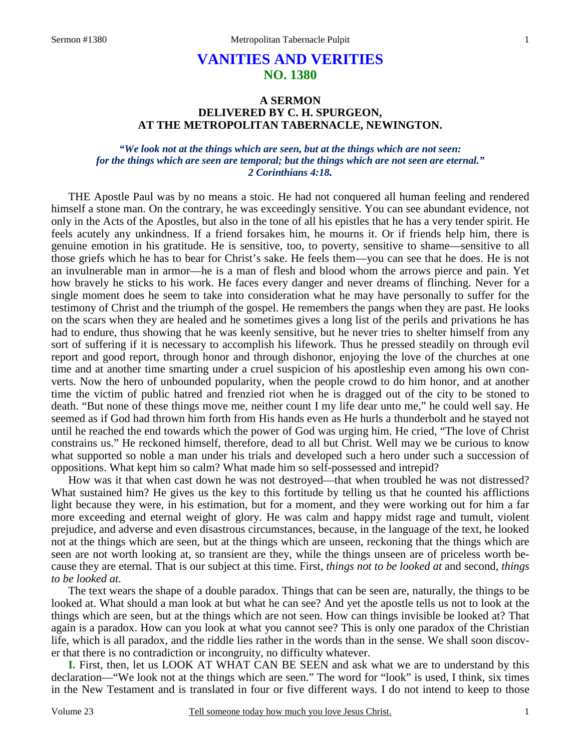# **VANITIES AND VERITIES NO. 1380**

# **A SERMON DELIVERED BY C. H. SPURGEON, AT THE METROPOLITAN TABERNACLE, NEWINGTON.**

### *"We look not at the things which are seen, but at the things which are not seen: for the things which are seen are temporal; but the things which are not seen are eternal." 2 Corinthians 4:18.*

THE Apostle Paul was by no means a stoic. He had not conquered all human feeling and rendered himself a stone man. On the contrary, he was exceedingly sensitive. You can see abundant evidence, not only in the Acts of the Apostles, but also in the tone of all his epistles that he has a very tender spirit. He feels acutely any unkindness. If a friend forsakes him, he mourns it. Or if friends help him, there is genuine emotion in his gratitude. He is sensitive, too, to poverty, sensitive to shame—sensitive to all those griefs which he has to bear for Christ's sake. He feels them—you can see that he does. He is not an invulnerable man in armor—he is a man of flesh and blood whom the arrows pierce and pain. Yet how bravely he sticks to his work. He faces every danger and never dreams of flinching. Never for a single moment does he seem to take into consideration what he may have personally to suffer for the testimony of Christ and the triumph of the gospel. He remembers the pangs when they are past. He looks on the scars when they are healed and he sometimes gives a long list of the perils and privations he has had to endure, thus showing that he was keenly sensitive, but he never tries to shelter himself from any sort of suffering if it is necessary to accomplish his lifework. Thus he pressed steadily on through evil report and good report, through honor and through dishonor, enjoying the love of the churches at one time and at another time smarting under a cruel suspicion of his apostleship even among his own converts. Now the hero of unbounded popularity, when the people crowd to do him honor, and at another time the victim of public hatred and frenzied riot when he is dragged out of the city to be stoned to death. "But none of these things move me, neither count I my life dear unto me," he could well say. He seemed as if God had thrown him forth from His hands even as He hurls a thunderbolt and he stayed not until he reached the end towards which the power of God was urging him. He cried, "The love of Christ constrains us." He reckoned himself, therefore, dead to all but Christ. Well may we be curious to know what supported so noble a man under his trials and developed such a hero under such a succession of oppositions. What kept him so calm? What made him so self-possessed and intrepid?

How was it that when cast down he was not destroyed—that when troubled he was not distressed? What sustained him? He gives us the key to this fortitude by telling us that he counted his afflictions light because they were, in his estimation, but for a moment, and they were working out for him a far more exceeding and eternal weight of glory. He was calm and happy midst rage and tumult, violent prejudice, and adverse and even disastrous circumstances, because, in the language of the text, he looked not at the things which are seen, but at the things which are unseen, reckoning that the things which are seen are not worth looking at, so transient are they, while the things unseen are of priceless worth because they are eternal. That is our subject at this time. First, *things not to be looked at* and second, *things to be looked at.*

The text wears the shape of a double paradox. Things that can be seen are, naturally, the things to be looked at. What should a man look at but what he can see? And yet the apostle tells us not to look at the things which are seen, but at the things which are not seen. How can things invisible be looked at? That again is a paradox. How can you look at what you cannot see? This is only one paradox of the Christian life, which is all paradox, and the riddle lies rather in the words than in the sense. We shall soon discover that there is no contradiction or incongruity, no difficulty whatever.

**I.** First, then, let us LOOK AT WHAT CAN BE SEEN and ask what we are to understand by this declaration—"We look not at the things which are seen." The word for "look" is used, I think, six times in the New Testament and is translated in four or five different ways. I do not intend to keep to those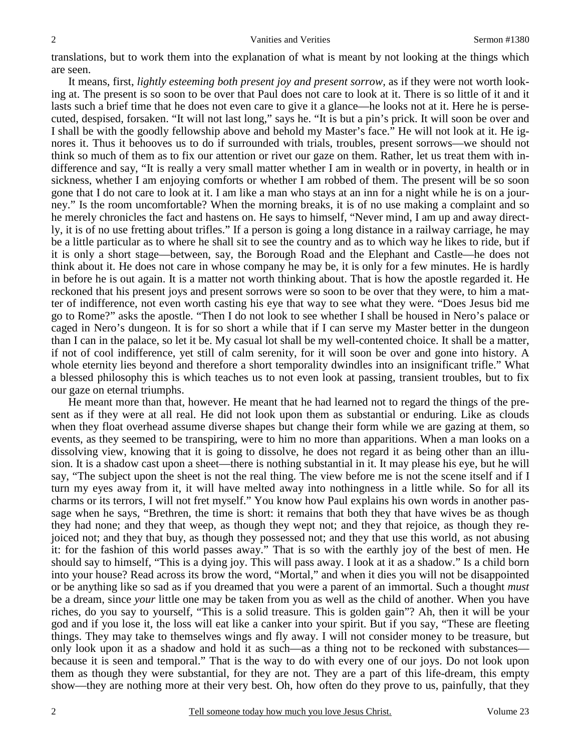translations, but to work them into the explanation of what is meant by not looking at the things which are seen.

It means, first, *lightly esteeming both present joy and present sorrow,* as if they were not worth looking at. The present is so soon to be over that Paul does not care to look at it. There is so little of it and it lasts such a brief time that he does not even care to give it a glance—he looks not at it. Here he is persecuted, despised, forsaken. "It will not last long," says he. "It is but a pin's prick. It will soon be over and I shall be with the goodly fellowship above and behold my Master's face." He will not look at it. He ignores it. Thus it behooves us to do if surrounded with trials, troubles, present sorrows—we should not think so much of them as to fix our attention or rivet our gaze on them. Rather, let us treat them with indifference and say, "It is really a very small matter whether I am in wealth or in poverty, in health or in sickness, whether I am enjoying comforts or whether I am robbed of them. The present will be so soon gone that I do not care to look at it. I am like a man who stays at an inn for a night while he is on a journey." Is the room uncomfortable? When the morning breaks, it is of no use making a complaint and so he merely chronicles the fact and hastens on. He says to himself, "Never mind, I am up and away directly, it is of no use fretting about trifles." If a person is going a long distance in a railway carriage, he may be a little particular as to where he shall sit to see the country and as to which way he likes to ride, but if it is only a short stage—between, say, the Borough Road and the Elephant and Castle—he does not think about it. He does not care in whose company he may be, it is only for a few minutes. He is hardly in before he is out again. It is a matter not worth thinking about. That is how the apostle regarded it. He reckoned that his present joys and present sorrows were so soon to be over that they were, to him a matter of indifference, not even worth casting his eye that way to see what they were. "Does Jesus bid me go to Rome?" asks the apostle. "Then I do not look to see whether I shall be housed in Nero's palace or caged in Nero's dungeon. It is for so short a while that if I can serve my Master better in the dungeon than I can in the palace, so let it be. My casual lot shall be my well-contented choice. It shall be a matter, if not of cool indifference, yet still of calm serenity, for it will soon be over and gone into history. A whole eternity lies beyond and therefore a short temporality dwindles into an insignificant trifle." What a blessed philosophy this is which teaches us to not even look at passing, transient troubles, but to fix our gaze on eternal triumphs.

He meant more than that, however. He meant that he had learned not to regard the things of the present as if they were at all real. He did not look upon them as substantial or enduring. Like as clouds when they float overhead assume diverse shapes but change their form while we are gazing at them, so events, as they seemed to be transpiring, were to him no more than apparitions. When a man looks on a dissolving view, knowing that it is going to dissolve, he does not regard it as being other than an illusion. It is a shadow cast upon a sheet—there is nothing substantial in it. It may please his eye, but he will say, "The subject upon the sheet is not the real thing. The view before me is not the scene itself and if I turn my eyes away from it, it will have melted away into nothingness in a little while. So for all its charms or its terrors, I will not fret myself." You know how Paul explains his own words in another passage when he says, "Brethren, the time is short: it remains that both they that have wives be as though they had none; and they that weep, as though they wept not; and they that rejoice, as though they rejoiced not; and they that buy, as though they possessed not; and they that use this world, as not abusing it: for the fashion of this world passes away." That is so with the earthly joy of the best of men. He should say to himself, "This is a dying joy. This will pass away. I look at it as a shadow." Is a child born into your house? Read across its brow the word, "Mortal," and when it dies you will not be disappointed or be anything like so sad as if you dreamed that you were a parent of an immortal. Such a thought *must* be a dream, since *your* little one may be taken from you as well as the child of another. When you have riches, do you say to yourself, "This is a solid treasure. This is golden gain"? Ah, then it will be your god and if you lose it, the loss will eat like a canker into your spirit. But if you say, "These are fleeting things. They may take to themselves wings and fly away. I will not consider money to be treasure, but only look upon it as a shadow and hold it as such—as a thing not to be reckoned with substances because it is seen and temporal." That is the way to do with every one of our joys. Do not look upon them as though they were substantial, for they are not. They are a part of this life-dream, this empty show—they are nothing more at their very best. Oh, how often do they prove to us, painfully, that they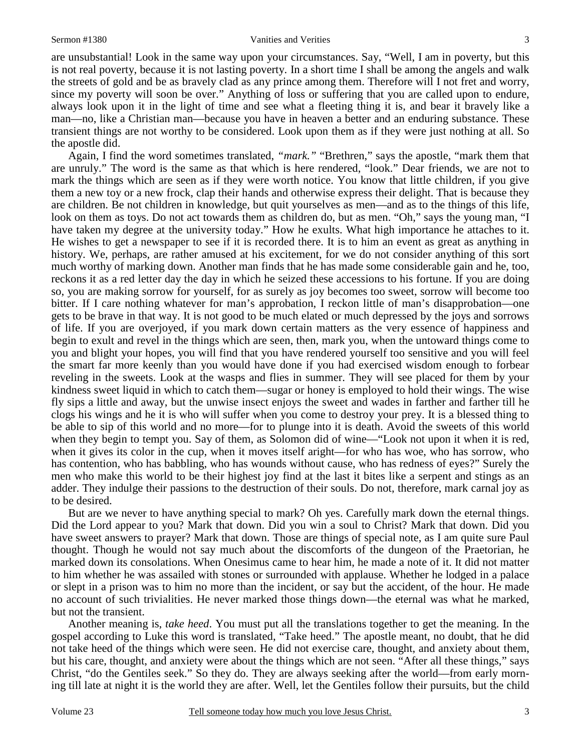are unsubstantial! Look in the same way upon your circumstances. Say, "Well, I am in poverty, but this is not real poverty, because it is not lasting poverty. In a short time I shall be among the angels and walk the streets of gold and be as bravely clad as any prince among them. Therefore will I not fret and worry, since my poverty will soon be over." Anything of loss or suffering that you are called upon to endure, always look upon it in the light of time and see what a fleeting thing it is, and bear it bravely like a man—no, like a Christian man—because you have in heaven a better and an enduring substance. These transient things are not worthy to be considered. Look upon them as if they were just nothing at all. So the apostle did.

Again, I find the word sometimes translated, *"mark."* "Brethren," says the apostle, "mark them that are unruly." The word is the same as that which is here rendered, "look." Dear friends, we are not to mark the things which are seen as if they were worth notice. You know that little children, if you give them a new toy or a new frock, clap their hands and otherwise express their delight. That is because they are children. Be not children in knowledge, but quit yourselves as men—and as to the things of this life, look on them as toys. Do not act towards them as children do, but as men. "Oh," says the young man, "I have taken my degree at the university today." How he exults. What high importance he attaches to it. He wishes to get a newspaper to see if it is recorded there. It is to him an event as great as anything in history. We, perhaps, are rather amused at his excitement, for we do not consider anything of this sort much worthy of marking down. Another man finds that he has made some considerable gain and he, too, reckons it as a red letter day the day in which he seized these accessions to his fortune. If you are doing so, you are making sorrow for yourself, for as surely as joy becomes too sweet, sorrow will become too bitter. If I care nothing whatever for man's approbation, I reckon little of man's disapprobation—one gets to be brave in that way. It is not good to be much elated or much depressed by the joys and sorrows of life. If you are overjoyed, if you mark down certain matters as the very essence of happiness and begin to exult and revel in the things which are seen, then, mark you, when the untoward things come to you and blight your hopes, you will find that you have rendered yourself too sensitive and you will feel the smart far more keenly than you would have done if you had exercised wisdom enough to forbear reveling in the sweets. Look at the wasps and flies in summer. They will see placed for them by your kindness sweet liquid in which to catch them—sugar or honey is employed to hold their wings. The wise fly sips a little and away, but the unwise insect enjoys the sweet and wades in farther and farther till he clogs his wings and he it is who will suffer when you come to destroy your prey. It is a blessed thing to be able to sip of this world and no more—for to plunge into it is death. Avoid the sweets of this world when they begin to tempt you. Say of them, as Solomon did of wine—"Look not upon it when it is red, when it gives its color in the cup, when it moves itself aright—for who has woe, who has sorrow, who has contention, who has babbling, who has wounds without cause, who has redness of eyes?" Surely the men who make this world to be their highest joy find at the last it bites like a serpent and stings as an adder. They indulge their passions to the destruction of their souls. Do not, therefore, mark carnal joy as to be desired.

But are we never to have anything special to mark? Oh yes. Carefully mark down the eternal things. Did the Lord appear to you? Mark that down. Did you win a soul to Christ? Mark that down. Did you have sweet answers to prayer? Mark that down. Those are things of special note, as I am quite sure Paul thought. Though he would not say much about the discomforts of the dungeon of the Praetorian, he marked down its consolations. When Onesimus came to hear him, he made a note of it. It did not matter to him whether he was assailed with stones or surrounded with applause. Whether he lodged in a palace or slept in a prison was to him no more than the incident, or say but the accident, of the hour. He made no account of such trivialities. He never marked those things down—the eternal was what he marked, but not the transient.

Another meaning is, *take heed*. You must put all the translations together to get the meaning. In the gospel according to Luke this word is translated, "Take heed." The apostle meant, no doubt, that he did not take heed of the things which were seen. He did not exercise care, thought, and anxiety about them, but his care, thought, and anxiety were about the things which are not seen. "After all these things," says Christ, "do the Gentiles seek." So they do. They are always seeking after the world—from early morning till late at night it is the world they are after. Well, let the Gentiles follow their pursuits, but the child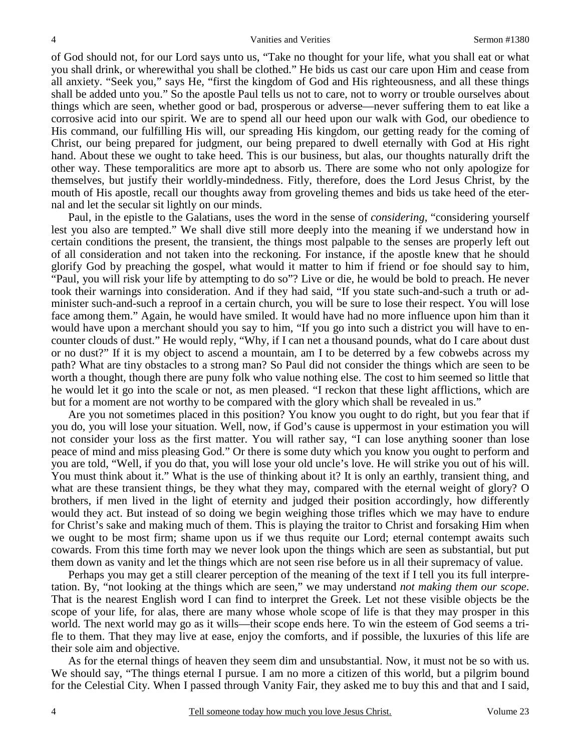of God should not, for our Lord says unto us, "Take no thought for your life, what you shall eat or what you shall drink, or wherewithal you shall be clothed." He bids us cast our care upon Him and cease from all anxiety. "Seek you," says He, "first the kingdom of God and His righteousness, and all these things shall be added unto you." So the apostle Paul tells us not to care, not to worry or trouble ourselves about things which are seen, whether good or bad, prosperous or adverse—never suffering them to eat like a corrosive acid into our spirit. We are to spend all our heed upon our walk with God, our obedience to His command, our fulfilling His will, our spreading His kingdom, our getting ready for the coming of Christ, our being prepared for judgment, our being prepared to dwell eternally with God at His right hand. About these we ought to take heed. This is our business, but alas, our thoughts naturally drift the other way. These temporalitics are more apt to absorb us. There are some who not only apologize for themselves, but justify their worldly-mindedness. Fitly, therefore, does the Lord Jesus Christ, by the mouth of His apostle, recall our thoughts away from groveling themes and bids us take heed of the eternal and let the secular sit lightly on our minds.

Paul, in the epistle to the Galatians, uses the word in the sense of *considering,* "considering yourself lest you also are tempted." We shall dive still more deeply into the meaning if we understand how in certain conditions the present, the transient, the things most palpable to the senses are properly left out of all consideration and not taken into the reckoning. For instance, if the apostle knew that he should glorify God by preaching the gospel, what would it matter to him if friend or foe should say to him, "Paul, you will risk your life by attempting to do so"? Live or die, he would be bold to preach. He never took their warnings into consideration. And if they had said, "If you state such-and-such a truth or administer such-and-such a reproof in a certain church, you will be sure to lose their respect. You will lose face among them." Again, he would have smiled. It would have had no more influence upon him than it would have upon a merchant should you say to him, "If you go into such a district you will have to encounter clouds of dust." He would reply, "Why, if I can net a thousand pounds, what do I care about dust or no dust?" If it is my object to ascend a mountain, am I to be deterred by a few cobwebs across my path? What are tiny obstacles to a strong man? So Paul did not consider the things which are seen to be worth a thought, though there are puny folk who value nothing else. The cost to him seemed so little that he would let it go into the scale or not, as men pleased. "I reckon that these light afflictions, which are but for a moment are not worthy to be compared with the glory which shall be revealed in us."

Are you not sometimes placed in this position? You know you ought to do right, but you fear that if you do, you will lose your situation. Well, now, if God's cause is uppermost in your estimation you will not consider your loss as the first matter. You will rather say, "I can lose anything sooner than lose peace of mind and miss pleasing God." Or there is some duty which you know you ought to perform and you are told, "Well, if you do that, you will lose your old uncle's love. He will strike you out of his will. You must think about it." What is the use of thinking about it? It is only an earthly, transient thing, and what are these transient things, be they what they may, compared with the eternal weight of glory? O brothers, if men lived in the light of eternity and judged their position accordingly, how differently would they act. But instead of so doing we begin weighing those trifles which we may have to endure for Christ's sake and making much of them. This is playing the traitor to Christ and forsaking Him when we ought to be most firm; shame upon us if we thus requite our Lord; eternal contempt awaits such cowards. From this time forth may we never look upon the things which are seen as substantial, but put them down as vanity and let the things which are not seen rise before us in all their supremacy of value.

Perhaps you may get a still clearer perception of the meaning of the text if I tell you its full interpretation. By, "not looking at the things which are seen," we may understand *not making them our scope*. That is the nearest English word I can find to interpret the Greek. Let not these visible objects be the scope of your life, for alas, there are many whose whole scope of life is that they may prosper in this world. The next world may go as it wills—their scope ends here. To win the esteem of God seems a trifle to them. That they may live at ease, enjoy the comforts, and if possible, the luxuries of this life are their sole aim and objective.

As for the eternal things of heaven they seem dim and unsubstantial. Now, it must not be so with us. We should say, "The things eternal I pursue. I am no more a citizen of this world, but a pilgrim bound for the Celestial City. When I passed through Vanity Fair, they asked me to buy this and that and I said,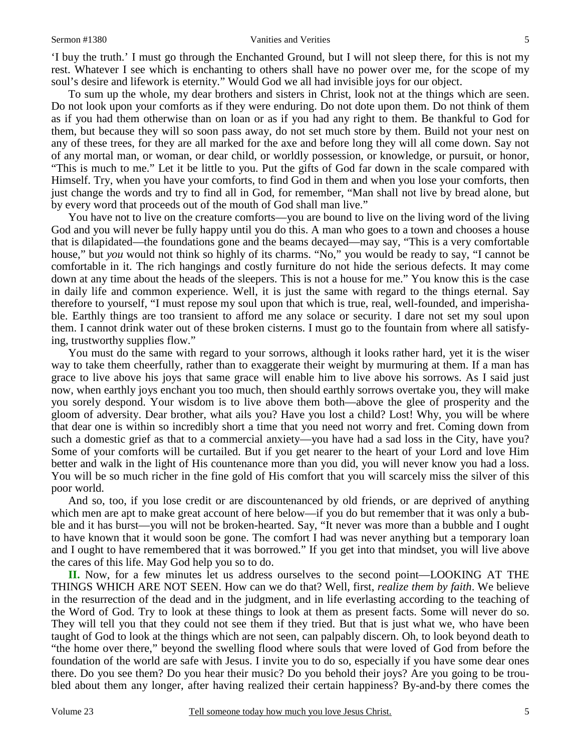#### Sermon #1380 Vanities and Verities

'I buy the truth.' I must go through the Enchanted Ground, but I will not sleep there, for this is not my rest. Whatever I see which is enchanting to others shall have no power over me, for the scope of my soul's desire and lifework is eternity." Would God we all had invisible joys for our object.

To sum up the whole, my dear brothers and sisters in Christ, look not at the things which are seen. Do not look upon your comforts as if they were enduring. Do not dote upon them. Do not think of them as if you had them otherwise than on loan or as if you had any right to them. Be thankful to God for them, but because they will so soon pass away, do not set much store by them. Build not your nest on any of these trees, for they are all marked for the axe and before long they will all come down. Say not of any mortal man, or woman, or dear child, or worldly possession, or knowledge, or pursuit, or honor, "This is much to me." Let it be little to you. Put the gifts of God far down in the scale compared with Himself. Try, when you have your comforts, to find God in them and when you lose your comforts, then just change the words and try to find all in God, for remember, "Man shall not live by bread alone, but by every word that proceeds out of the mouth of God shall man live."

You have not to live on the creature comforts—you are bound to live on the living word of the living God and you will never be fully happy until you do this. A man who goes to a town and chooses a house that is dilapidated—the foundations gone and the beams decayed—may say, "This is a very comfortable house," but *you* would not think so highly of its charms. "No," you would be ready to say, "I cannot be comfortable in it. The rich hangings and costly furniture do not hide the serious defects. It may come down at any time about the heads of the sleepers. This is not a house for me." You know this is the case in daily life and common experience. Well, it is just the same with regard to the things eternal. Say therefore to yourself, "I must repose my soul upon that which is true, real, well-founded, and imperishable. Earthly things are too transient to afford me any solace or security. I dare not set my soul upon them. I cannot drink water out of these broken cisterns. I must go to the fountain from where all satisfying, trustworthy supplies flow."

You must do the same with regard to your sorrows, although it looks rather hard, yet it is the wiser way to take them cheerfully, rather than to exaggerate their weight by murmuring at them. If a man has grace to live above his joys that same grace will enable him to live above his sorrows. As I said just now, when earthly joys enchant you too much, then should earthly sorrows overtake you, they will make you sorely despond. Your wisdom is to live above them both—above the glee of prosperity and the gloom of adversity. Dear brother, what ails you? Have you lost a child? Lost! Why, you will be where that dear one is within so incredibly short a time that you need not worry and fret. Coming down from such a domestic grief as that to a commercial anxiety—you have had a sad loss in the City, have you? Some of your comforts will be curtailed. But if you get nearer to the heart of your Lord and love Him better and walk in the light of His countenance more than you did, you will never know you had a loss. You will be so much richer in the fine gold of His comfort that you will scarcely miss the silver of this poor world.

And so, too, if you lose credit or are discountenanced by old friends, or are deprived of anything which men are apt to make great account of here below—if you do but remember that it was only a bubble and it has burst—you will not be broken-hearted. Say, "It never was more than a bubble and I ought to have known that it would soon be gone. The comfort I had was never anything but a temporary loan and I ought to have remembered that it was borrowed." If you get into that mindset, you will live above the cares of this life. May God help you so to do.

**II.** Now, for a few minutes let us address ourselves to the second point—LOOKING AT THE THINGS WHICH ARE NOT SEEN. How can we do that? Well, first, *realize them by faith*. We believe in the resurrection of the dead and in the judgment, and in life everlasting according to the teaching of the Word of God. Try to look at these things to look at them as present facts. Some will never do so. They will tell you that they could not see them if they tried. But that is just what we, who have been taught of God to look at the things which are not seen, can palpably discern. Oh, to look beyond death to "the home over there," beyond the swelling flood where souls that were loved of God from before the foundation of the world are safe with Jesus. I invite you to do so, especially if you have some dear ones there. Do you see them? Do you hear their music? Do you behold their joys? Are you going to be troubled about them any longer, after having realized their certain happiness? By-and-by there comes the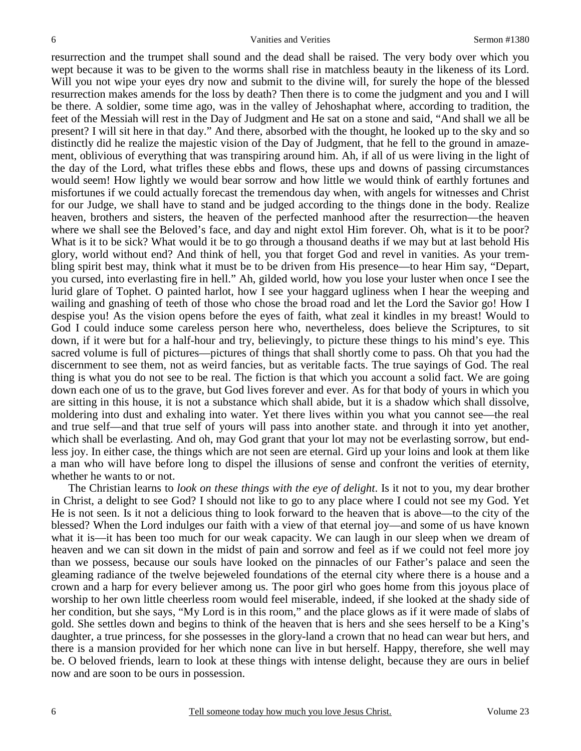resurrection and the trumpet shall sound and the dead shall be raised. The very body over which you wept because it was to be given to the worms shall rise in matchless beauty in the likeness of its Lord. Will you not wipe your eyes dry now and submit to the divine will, for surely the hope of the blessed resurrection makes amends for the loss by death? Then there is to come the judgment and you and I will be there. A soldier, some time ago, was in the valley of Jehoshaphat where, according to tradition, the feet of the Messiah will rest in the Day of Judgment and He sat on a stone and said, "And shall we all be present? I will sit here in that day." And there, absorbed with the thought, he looked up to the sky and so distinctly did he realize the majestic vision of the Day of Judgment, that he fell to the ground in amazement, oblivious of everything that was transpiring around him. Ah, if all of us were living in the light of the day of the Lord, what trifles these ebbs and flows, these ups and downs of passing circumstances would seem! How lightly we would bear sorrow and how little we would think of earthly fortunes and misfortunes if we could actually forecast the tremendous day when, with angels for witnesses and Christ for our Judge, we shall have to stand and be judged according to the things done in the body. Realize heaven, brothers and sisters, the heaven of the perfected manhood after the resurrection—the heaven where we shall see the Beloved's face, and day and night extol Him forever. Oh, what is it to be poor? What is it to be sick? What would it be to go through a thousand deaths if we may but at last behold His glory, world without end? And think of hell, you that forget God and revel in vanities. As your trembling spirit best may, think what it must be to be driven from His presence—to hear Him say, "Depart, you cursed, into everlasting fire in hell." Ah, gilded world, how you lose your luster when once I see the lurid glare of Tophet. O painted harlot, how I see your haggard ugliness when I hear the weeping and wailing and gnashing of teeth of those who chose the broad road and let the Lord the Savior go! How I despise you! As the vision opens before the eyes of faith, what zeal it kindles in my breast! Would to God I could induce some careless person here who, nevertheless, does believe the Scriptures, to sit down, if it were but for a half-hour and try, believingly, to picture these things to his mind's eye. This sacred volume is full of pictures—pictures of things that shall shortly come to pass. Oh that you had the discernment to see them, not as weird fancies, but as veritable facts. The true sayings of God. The real thing is what you do not see to be real. The fiction is that which you account a solid fact. We are going down each one of us to the grave, but God lives forever and ever. As for that body of yours in which you are sitting in this house, it is not a substance which shall abide, but it is a shadow which shall dissolve, moldering into dust and exhaling into water. Yet there lives within you what you cannot see—the real and true self—and that true self of yours will pass into another state. and through it into yet another, which shall be everlasting. And oh, may God grant that your lot may not be everlasting sorrow, but endless joy. In either case, the things which are not seen are eternal. Gird up your loins and look at them like a man who will have before long to dispel the illusions of sense and confront the verities of eternity, whether he wants to or not.

The Christian learns to *look on these things with the eye of delight*. Is it not to you, my dear brother in Christ, a delight to see God? I should not like to go to any place where I could not see my God. Yet He is not seen. Is it not a delicious thing to look forward to the heaven that is above—to the city of the blessed? When the Lord indulges our faith with a view of that eternal joy—and some of us have known what it is—it has been too much for our weak capacity. We can laugh in our sleep when we dream of heaven and we can sit down in the midst of pain and sorrow and feel as if we could not feel more joy than we possess, because our souls have looked on the pinnacles of our Father's palace and seen the gleaming radiance of the twelve bejeweled foundations of the eternal city where there is a house and a crown and a harp for every believer among us. The poor girl who goes home from this joyous place of worship to her own little cheerless room would feel miserable, indeed, if she looked at the shady side of her condition, but she says, "My Lord is in this room," and the place glows as if it were made of slabs of gold. She settles down and begins to think of the heaven that is hers and she sees herself to be a King's daughter, a true princess, for she possesses in the glory-land a crown that no head can wear but hers, and there is a mansion provided for her which none can live in but herself. Happy, therefore, she well may be. O beloved friends, learn to look at these things with intense delight, because they are ours in belief now and are soon to be ours in possession.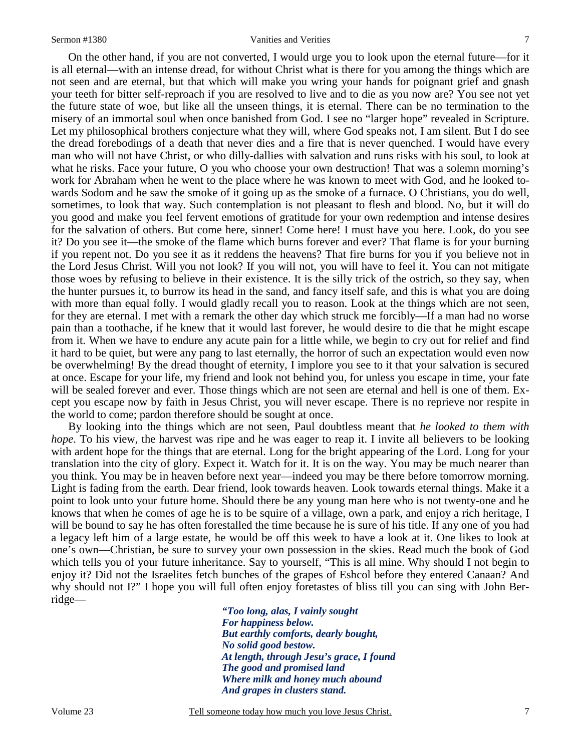On the other hand, if you are not converted, I would urge you to look upon the eternal future—for it is all eternal—with an intense dread, for without Christ what is there for you among the things which are not seen and are eternal, but that which will make you wring your hands for poignant grief and gnash your teeth for bitter self-reproach if you are resolved to live and to die as you now are? You see not yet the future state of woe, but like all the unseen things, it is eternal. There can be no termination to the misery of an immortal soul when once banished from God. I see no "larger hope" revealed in Scripture. Let my philosophical brothers conjecture what they will, where God speaks not, I am silent. But I do see the dread forebodings of a death that never dies and a fire that is never quenched. I would have every man who will not have Christ, or who dilly-dallies with salvation and runs risks with his soul, to look at what he risks. Face your future, O you who choose your own destruction! That was a solemn morning's work for Abraham when he went to the place where he was known to meet with God, and he looked towards Sodom and he saw the smoke of it going up as the smoke of a furnace. O Christians, you do well, sometimes, to look that way. Such contemplation is not pleasant to flesh and blood. No, but it will do you good and make you feel fervent emotions of gratitude for your own redemption and intense desires for the salvation of others. But come here, sinner! Come here! I must have you here. Look, do you see it? Do you see it—the smoke of the flame which burns forever and ever? That flame is for your burning if you repent not. Do you see it as it reddens the heavens? That fire burns for you if you believe not in the Lord Jesus Christ. Will you not look? If you will not, you will have to feel it. You can not mitigate those woes by refusing to believe in their existence. It is the silly trick of the ostrich, so they say, when the hunter pursues it, to burrow its head in the sand, and fancy itself safe, and this is what you are doing with more than equal folly. I would gladly recall you to reason. Look at the things which are not seen, for they are eternal. I met with a remark the other day which struck me forcibly—If a man had no worse pain than a toothache, if he knew that it would last forever, he would desire to die that he might escape from it. When we have to endure any acute pain for a little while, we begin to cry out for relief and find it hard to be quiet, but were any pang to last eternally, the horror of such an expectation would even now be overwhelming! By the dread thought of eternity, I implore you see to it that your salvation is secured at once. Escape for your life, my friend and look not behind you, for unless you escape in time, your fate will be sealed forever and ever. Those things which are not seen are eternal and hell is one of them. Except you escape now by faith in Jesus Christ, you will never escape. There is no reprieve nor respite in the world to come; pardon therefore should be sought at once.

By looking into the things which are not seen, Paul doubtless meant that *he looked to them with hope*. To his view, the harvest was ripe and he was eager to reap it. I invite all believers to be looking with ardent hope for the things that are eternal. Long for the bright appearing of the Lord. Long for your translation into the city of glory. Expect it. Watch for it. It is on the way. You may be much nearer than you think. You may be in heaven before next year—indeed you may be there before tomorrow morning. Light is fading from the earth. Dear friend, look towards heaven. Look towards eternal things. Make it a point to look unto your future home. Should there be any young man here who is not twenty-one and he knows that when he comes of age he is to be squire of a village, own a park, and enjoy a rich heritage, I will be bound to say he has often forestalled the time because he is sure of his title. If any one of you had a legacy left him of a large estate, he would be off this week to have a look at it. One likes to look at one's own—Christian, be sure to survey your own possession in the skies. Read much the book of God which tells you of your future inheritance. Say to yourself, "This is all mine. Why should I not begin to enjoy it? Did not the Israelites fetch bunches of the grapes of Eshcol before they entered Canaan? And why should not I?" I hope you will full often enjoy foretastes of bliss till you can sing with John Berridge—

> *"Too long, alas, I vainly sought For happiness below. But earthly comforts, dearly bought, No solid good bestow. At length, through Jesu's grace, I found The good and promised land Where milk and honey much abound And grapes in clusters stand.*